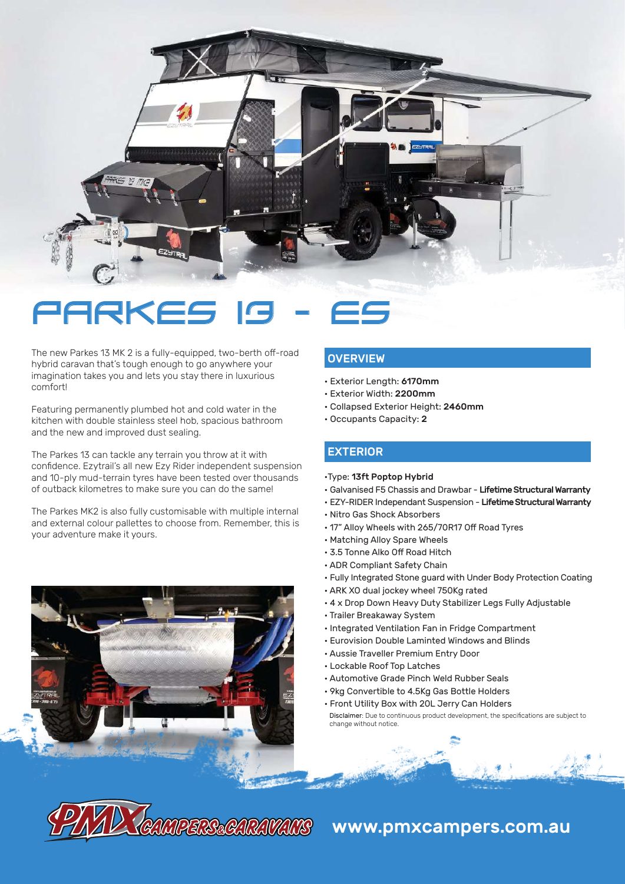

# **PARKE**

The new Parkes 13 MK 2 is a fully-equipped, two-berth off-road hybrid caravan that's tough enough to go anywhere your imagination takes you and lets you stay there in luxurious comfort!

Featuring permanently plumbed hot and cold water in the kitchen with double stainless steel hob, spacious bathroom and the new and improved dust sealing.

The Parkes 13 can tackle any terrain you throw at it with confidence. Ezytrail's all new Ezy Rider independent suspension and 10-ply mud-terrain tyres have been tested over thousands of outback kilometres to make sure you can do the same!

The Parkes MK2 is also fully customisable with multiple internal and external colour pallettes to choose from. Remember, this is your adventure make it yours.



#### **OVERVIEW**

- Exterior Length: 6170mm
- Exterior Width: 2200mm
- Collapsed Exterior Height: 2460mm
- Occupants Capacity: 2

#### EXTERIOR

- •Type: 13ft Poptop Hybrid
- Galvanised F5 Chassis and Drawbar Lifetime Structural Warranty
- EZY-RIDER Independant Suspension Lifetime Structural Warranty
- Nitro Gas Shock Absorbers
- 17" Alloy Wheels with 265/70R17 Off Road Tyres
- Matching Alloy Spare Wheels
- 3.5 Tonne Alko Off Road Hitch
- ADR Compliant Safety Chain
- Fully Integrated Stone guard with Under Body Protection Coating
- ARK XO dual jockey wheel 750Kg rated
- 4 x Drop Down Heavy Duty Stabilizer Legs Fully Adjustable
- Trailer Breakaway System
- Integrated Ventilation Fan in Fridge Compartment
- Eurovision Double Laminted Windows and Blinds
- Aussie Traveller Premium Entry Door
- Lockable Roof Top Latches
- Automotive Grade Pinch Weld Rubber Seals
- 9kg Convertible to 4.5Kg Gas Bottle Holders
- Front Utility Box with 20L Jerry Can Holders
- Disclaimer: Due to continuous product development, the specifications are subject to change without notice.

# **CAMPERS&CARAVANS www.pmxcampers.com.au**